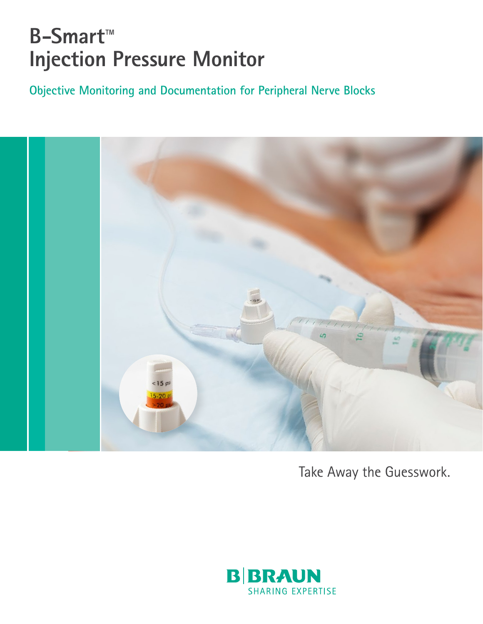# **B-Smart™ Injection Pressure Monitor**

**Objective Monitoring and Documentation for Peripheral Nerve Blocks**



Take Away the Guesswork.

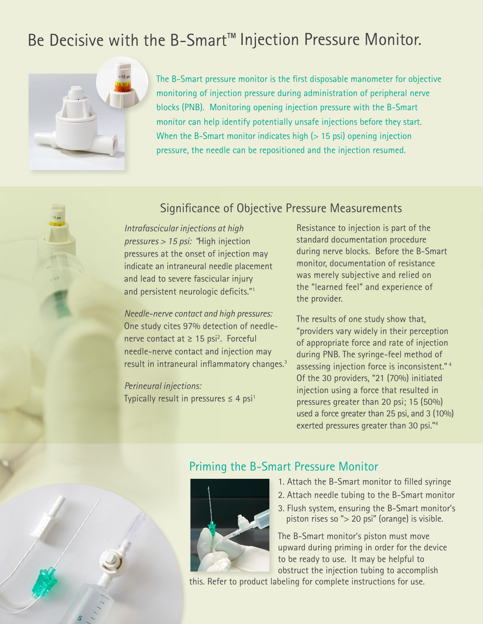## Be Decisive with the B-Smart™ Injection Pressure Monitor.



The B-Smart pressure monitor is the first disposable manometer for objective monitoring of injection pressure during administration of peripheral nerve blocks (PNB). Monitoring opening injection pressure with the B-Smart monitor can help identify potentially unsafe injections before they start. When the B-Smart monitor indicates high  $($  > 15 psi) opening injection pressure, the needle can be repositioned and the injection resumed.

### Significance of Objective Pressure Measurements

*Intrafascicular injections at high pressures > 15 psi: "*High injection pressures at the onset of injection may indicate an intraneural needle placement and lead to severe fascicular injury and persistent neurologic deficits."1

*Needle-nerve contact and high pressures:*  One study cites 97% detection of needlenerve contact at  $\geq 15$  psi<sup>2</sup>. Forceful needle-nerve contact and injection may result in intraneural inflammatory changes.<sup>3</sup>

*Perineural injections:*  Typically result in pressures  $\leq 4$  psi<sup>1</sup> Resistance to injection is part of the standard documentation procedure during nerve blocks. Before the B-Smart monitor, documentation of resistance was merely subjective and relied on the "learned feel" and experience of the provider.

The results of one study show that, "providers vary widely in their perception of appropriate force and rate of injection during PNB. The syringe-feel method of assessing injection force is inconsistent." 4 Of the 30 providers, "21 (70%) initiated injection using a force that resulted in pressures greater than 20 psi; 15 (50%) used a force greater than 25 psi, and 3 (10%) exerted pressures greater than 30 psi."4



## Priming the B-Smart Pressure Monitor



- 1. Attach the B-Smart monitor to filled syringe
- 2. Attach needle tubing to the B-Smart monitor
- 3. Flush system, ensuring the B-Smart monitor's piston rises so "> 20 psi" (orange) is visible.

The B-Smart monitor's piston must move upward during priming in order for the device to be ready to use. It may be helpful to obstruct the injection tubing to accomplish

this. Refer to product labeling for complete instructions for use.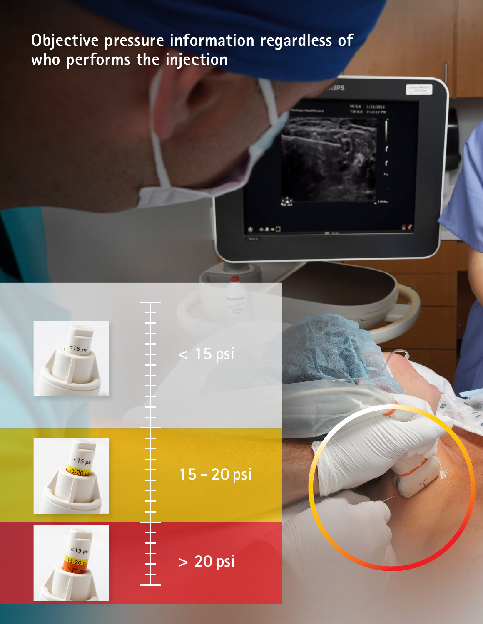## **Objective pressure information regardless of who performs the injection**

 $ABS$ 

M.

MI 0.6 1/13/2012

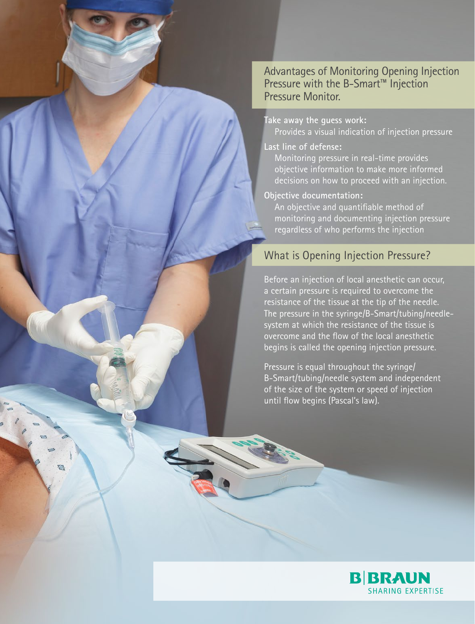Advantages of Monitoring Opening Injection Pressure with the B-Smart™ Injection Pressure Monitor.

#### **Take away the guess work:**

Provides a visual indication of injection pressure

#### **Last line of defense:**

Monitoring pressure in real-time provides objective information to make more informed decisions on how to proceed with an injection.

#### **Objective documentation:**

An objective and quantifiable method of monitoring and documenting injection pressure regardless of who performs the injection

#### What is Opening Injection Pressure?

Before an injection of local anesthetic can occur, a certain pressure is required to overcome the resistance of the tissue at the tip of the needle. The pressure in the syringe/B-Smart/tubing/needlesystem at which the resistance of the tissue is overcome and the flow of the local anesthetic begins is called the opening injection pressure.

Pressure is equal throughout the syringe/ B-Smart/tubing/needle system and independent of the size of the system or speed of injection until flow begins (Pascal's law).

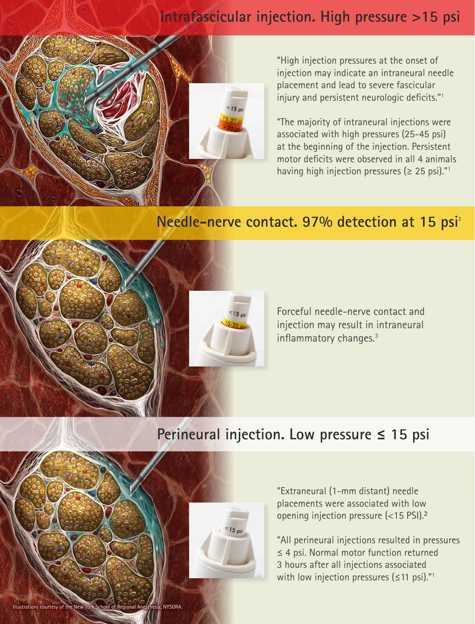## **Intrafascicular injection. High pressure >15 psi**



"High injection pressures at the onset of injection may indicate an intraneural needle placement and lead to severe fascicular injury and persistent neurologic deficits."1

"The majority of intraneural injections were associated with high pressures (25-45 psi) at the beginning of the injection. Persistent motor deficits were observed in all 4 animals having high injection pressures ( $\geq$  25 psi)."<sup>1</sup>

### **Needle-nerve contact. 97% detection at 15 psi**<sup>2</sup>



Illustrations courtesy of the New York School of Regional Anesthesia, NYSORA.

Forceful needle-nerve contact and injection may result in intraneural inflammatory changes.3

## **Perineural injection. Low pressure ≤ 15 psi**



"Extraneural (1-mm distant) needle placements were associated with low opening injection pressure (<15 PSI).**²**

"All perineural injections resulted in pressures ≤ 4 psi. Normal motor function returned 3 hours after all injections associated with low injection pressures ( $\leq$ 11 psi)."<sup>1</sup>